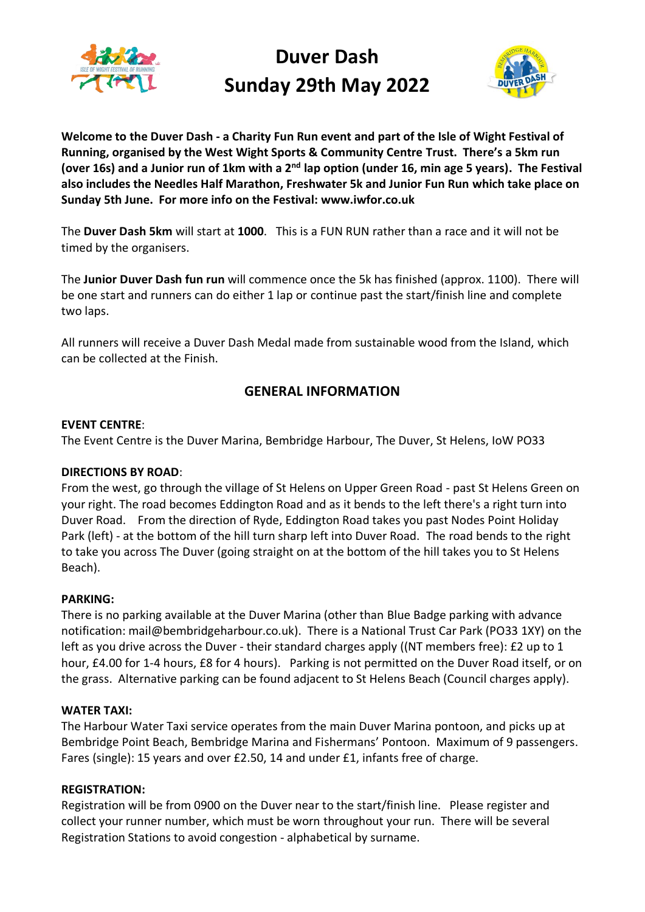

## **Duver Dash Sunday 29th May 2022**



**Welcome to the Duver Dash - a Charity Fun Run event and part of the Isle of Wight Festival of Running, organised by the West Wight Sports & Community Centre Trust. There's a 5km run (over 16s) and a Junior run of 1km with a 2nd lap option (under 16, min age 5 years). The Festival also includes the Needles Half Marathon, Freshwater 5k and Junior Fun Run which take place on Sunday 5th June. For more info on the Festival: www.iwfor.co.uk**

The **Duver Dash 5km** will start at **1000**. This is a FUN RUN rather than a race and it will not be timed by the organisers.

The **Junior Duver Dash fun run** will commence once the 5k has finished (approx. 1100). There will be one start and runners can do either 1 lap or continue past the start/finish line and complete two laps.

All runners will receive a Duver Dash Medal made from sustainable wood from the Island, which can be collected at the Finish.

## **GENERAL INFORMATION**

## **EVENT CENTRE**:

The Event Centre is the Duver Marina, Bembridge Harbour, The Duver, St Helens, IoW PO33

## **DIRECTIONS BY ROAD**:

From the west, go through the village of St Helens on Upper Green Road - past St Helens Green on your right. The road becomes Eddington Road and as it bends to the left there's a right turn into Duver Road. From the direction of Ryde, Eddington Road takes you past Nodes Point Holiday Park (left) - at the bottom of the hill turn sharp left into Duver Road. The road bends to the right to take you across The Duver (going straight on at the bottom of the hill takes you to St Helens Beach).

## **PARKING:**

There is no parking available at the Duver Marina (other than Blue Badge parking with advance notification[: mail@bembridgeharbour.co.uk\)](mailto:mail@bembridgeharbour.co.uk). There is a National Trust Car Park (PO33 1XY) on the left as you drive across the Duver - their standard charges apply ((NT members free): £2 up to 1 hour, £4.00 for 1-4 hours, £8 for 4 hours). Parking is not permitted on the Duver Road itself, or on the grass. Alternative parking can be found adjacent to St Helens Beach (Council charges apply).

## **WATER TAXI:**

The Harbour Water Taxi service operates from the main Duver Marina pontoon, and picks up at Bembridge Point Beach, Bembridge Marina and Fishermans' Pontoon. Maximum of 9 passengers. Fares (single): 15 years and over £2.50, 14 and under £1, infants free of charge.

## **REGISTRATION:**

Registration will be from 0900 on the Duver near to the start/finish line. Please register and collect your runner number, which must be worn throughout your run. There will be several Registration Stations to avoid congestion - alphabetical by surname.